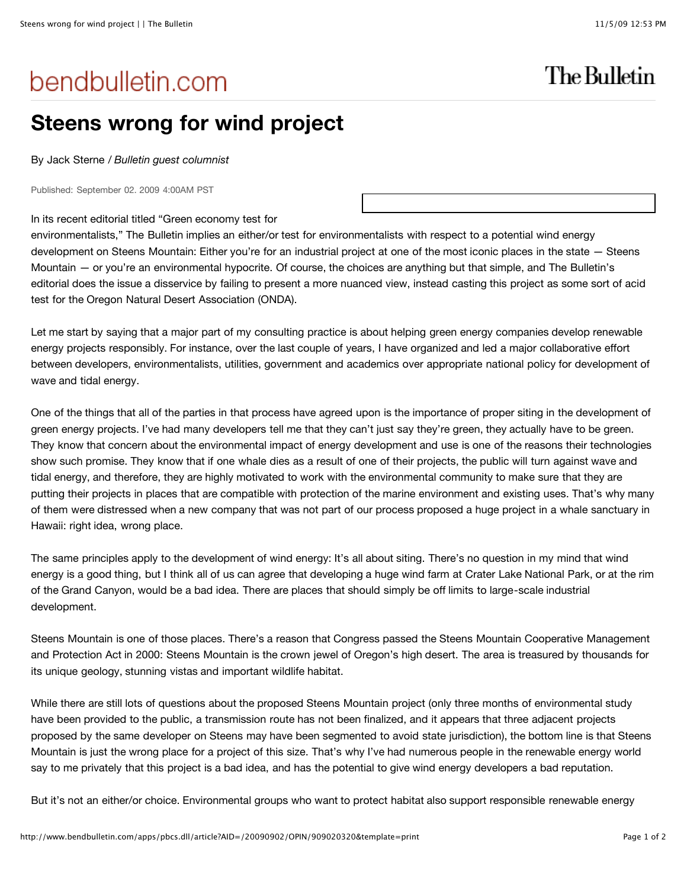## bendbulletin.com

## **Steens wrong for wind project**

By Jack Sterne / *Bulletin guest columnist*

Published: September 02. 2009 4:00AM PST

## In its recent editorial titled "Green economy test for

environmentalists," The Bulletin implies an either/or test for environmentalists with respect to a potential wind energy development on Steens Mountain: Either you're for an industrial project at one of the most iconic places in the state — Steens Mountain — or you're an environmental hypocrite. Of course, the choices are anything but that simple, and The Bulletin's editorial does the issue a disservice by failing to present a more nuanced view, instead casting this project as some sort of acid test for the Oregon Natural Desert Association (ONDA).

Let me start by saying that a major part of my consulting practice is about helping green energy companies develop renewable energy projects responsibly. For instance, over the last couple of years, I have organized and led a major collaborative effort between developers, environmentalists, utilities, government and academics over appropriate national policy for development of wave and tidal energy.

One of the things that all of the parties in that process have agreed upon is the importance of proper siting in the development of green energy projects. I've had many developers tell me that they can't just say they're green, they actually have to be green. They know that concern about the environmental impact of energy development and use is one of the reasons their technologies show such promise. They know that if one whale dies as a result of one of their projects, the public will turn against wave and tidal energy, and therefore, they are highly motivated to work with the environmental community to make sure that they are putting their projects in places that are compatible with protection of the marine environment and existing uses. That's why many of them were distressed when a new company that was not part of our process proposed a huge project in a whale sanctuary in Hawaii: right idea, wrong place.

The same principles apply to the development of wind energy: It's all about siting. There's no question in my mind that wind energy is a good thing, but I think all of us can agree that developing a huge wind farm at Crater Lake National Park, or at the rim of the Grand Canyon, would be a bad idea. There are places that should simply be off limits to large-scale industrial development.

Steens Mountain is one of those places. There's a reason that Congress passed the Steens Mountain Cooperative Management and Protection Act in 2000: Steens Mountain is the crown jewel of Oregon's high desert. The area is treasured by thousands for its unique geology, stunning vistas and important wildlife habitat.

While there are still lots of questions about the proposed Steens Mountain project (only three months of environmental study have been provided to the public, a transmission route has not been finalized, and it appears that three adjacent projects proposed by the same developer on Steens may have been segmented to avoid state jurisdiction), the bottom line is that Steens Mountain is just the wrong place for a project of this size. That's why I've had numerous people in the renewable energy world say to me privately that this project is a bad idea, and has the potential to give wind energy developers a bad reputation.

But it's not an either/or choice. Environmental groups who want to protect habitat also support responsible renewable energy